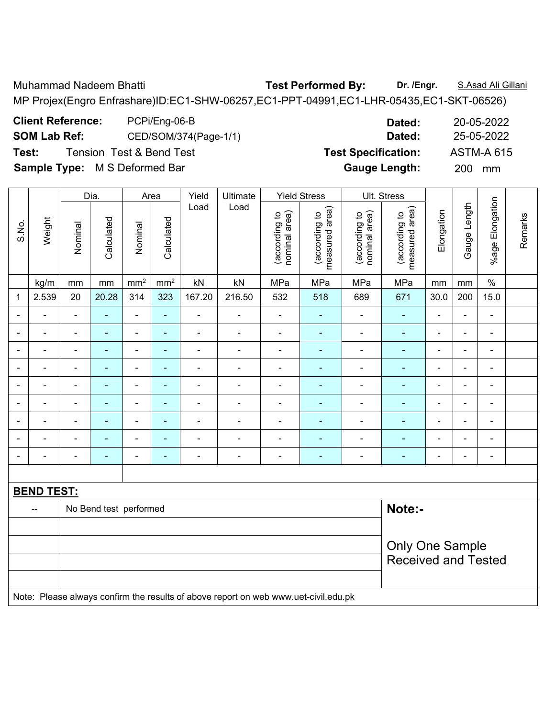Muhammad Nadeem Bhatti **Test Performed By: Dr. /Engr.** S.Asad Ali Gillani

MP Projex(Engro Enfrashare)ID:EC1-SHW-06257,EC1-PPT-04991,EC1-LHR-05435,EC1-SKT-06526)

| <b>Client Reference:</b> | PCPi/Eng-06-B                       |     |
|--------------------------|-------------------------------------|-----|
| <b>SOM Lab Ref:</b>      | CED/SOM/374(Page-1/1)               |     |
| Test:                    | <b>Tension Test &amp; Bend Test</b> | Tes |

|                          |                   |                                                      | Dia.                     |                          | Area                     | Yield                        | Ultimate                                                                            |                                | <b>Yield Stress</b>             |                                | Ult. Stress                     |                |                |                          |         |
|--------------------------|-------------------|------------------------------------------------------|--------------------------|--------------------------|--------------------------|------------------------------|-------------------------------------------------------------------------------------|--------------------------------|---------------------------------|--------------------------------|---------------------------------|----------------|----------------|--------------------------|---------|
| S.No.                    | Weight            | Nominal                                              | Calculated               | Nominal                  | Calculated               | Load                         | Load                                                                                | nominal area)<br>(according to | (according to<br>measured area) | nominal area)<br>(according to | (according to<br>measured area) | Elongation     | Gauge Length   | %age Elongation          | Remarks |
|                          | kg/m              | mm                                                   | mm                       | mm <sup>2</sup>          | mm <sup>2</sup>          | kN                           | kN                                                                                  | MPa                            | MPa                             | MPa                            | MPa                             | mm             | mm             | $\%$                     |         |
| 1                        | 2.539             | 20                                                   | 20.28                    | 314                      | 323                      | 167.20                       | 216.50                                                                              | 532                            | 518                             | 689                            | 671                             | 30.0           | 200            | 15.0                     |         |
| $\blacksquare$           |                   | $\blacksquare$                                       | ä,                       | $\blacksquare$           | ä,                       | $\blacksquare$               | $\blacksquare$                                                                      | $\blacksquare$                 | $\blacksquare$                  | $\blacksquare$                 | $\blacksquare$                  | $\blacksquare$ | ä,             | $\blacksquare$           |         |
| $\blacksquare$           | $\blacksquare$    | ä,                                                   | ٠                        | $\blacksquare$           | ÷,                       | $\frac{1}{2}$                | $\blacksquare$                                                                      | $\overline{\phantom{a}}$       | $\blacksquare$                  | $\blacksquare$                 | $\blacksquare$                  | $\blacksquare$ | ä,             | $\blacksquare$           |         |
| $\blacksquare$           | $\blacksquare$    | $\blacksquare$                                       | ÷                        | $\blacksquare$           | $\frac{1}{2}$            | $\qquad \qquad \blacksquare$ | $\overline{\phantom{a}}$                                                            | $\blacksquare$                 | $\blacksquare$                  | $\blacksquare$                 | $\blacksquare$                  | $\blacksquare$ | $\overline{a}$ | $\blacksquare$           |         |
| $\blacksquare$           | $\blacksquare$    | $\blacksquare$                                       | ٠                        | $\blacksquare$           | ä,                       | $\overline{\phantom{a}}$     | $\blacksquare$                                                                      | $\blacksquare$                 | $\blacksquare$                  | $\blacksquare$                 | $\blacksquare$                  | $\blacksquare$ | ä,             | $\blacksquare$           |         |
|                          | $\blacksquare$    | Ē,                                                   | ۰                        | $\blacksquare$           | $\blacksquare$           | $\blacksquare$               | $\blacksquare$                                                                      | L,                             | $\blacksquare$                  | $\blacksquare$                 | $\blacksquare$                  |                | Ē,             | $\blacksquare$           |         |
|                          |                   |                                                      | ۰                        | $\blacksquare$           | $\blacksquare$           | $\blacksquare$               |                                                                                     | ä,                             | $\blacksquare$                  | $\blacksquare$                 | $\blacksquare$                  | ۰              | $\blacksquare$ | $\blacksquare$           |         |
| $\overline{\phantom{0}}$ | $\blacksquare$    | Ē,                                                   | $\overline{\phantom{0}}$ | $\blacksquare$           | $\blacksquare$           | $\blacksquare$               | $\blacksquare$                                                                      | $\blacksquare$                 | $\blacksquare$                  | $\blacksquare$                 | $\blacksquare$                  | ۰              | ÷,             | $\overline{\phantom{a}}$ |         |
| ٠                        |                   | Ē,                                                   | $\overline{\phantom{0}}$ | $\blacksquare$           | $\overline{\phantom{0}}$ | $\blacksquare$               |                                                                                     | -                              | ۰                               | $\blacksquare$                 | $\blacksquare$                  | ۰              | ÷              | $\overline{\phantom{a}}$ |         |
| $\blacksquare$           | $\blacksquare$    | $\blacksquare$                                       | $\overline{\phantom{0}}$ | $\overline{\phantom{a}}$ | $\blacksquare$           | $\overline{\phantom{a}}$     | $\overline{\phantom{a}}$                                                            | $\frac{1}{2}$                  | $\blacksquare$                  | $\overline{\phantom{a}}$       | $\blacksquare$                  | $\blacksquare$ | $\frac{1}{2}$  | $\overline{\phantom{a}}$ |         |
|                          |                   |                                                      |                          |                          |                          |                              |                                                                                     |                                |                                 |                                |                                 |                |                |                          |         |
|                          | <b>BEND TEST:</b> |                                                      |                          |                          |                          |                              |                                                                                     |                                |                                 |                                |                                 |                |                |                          |         |
|                          | --                |                                                      | No Bend test performed   |                          |                          |                              |                                                                                     |                                |                                 |                                | Note:-                          |                |                |                          |         |
|                          |                   |                                                      |                          |                          |                          |                              |                                                                                     |                                |                                 |                                |                                 |                |                |                          |         |
|                          |                   | <b>Only One Sample</b><br><b>Received and Tested</b> |                          |                          |                          |                              |                                                                                     |                                |                                 |                                |                                 |                |                |                          |         |
|                          |                   |                                                      |                          |                          |                          |                              | Note: Please always confirm the results of above report on web www.uet-civil.edu.pk |                                |                                 |                                |                                 |                |                |                          |         |

**Client Reference:** PCPi/Eng-06-B **Dated:** 20-05-2022 **SOM Lab Ref:** CED/SOM/374(Page-1/1) **Dated:** 25-05-2022 **Text: Specification:** ASTM-A 615 **Sample Type:** M S Deformed Bar **Gauge Length:** 200 mm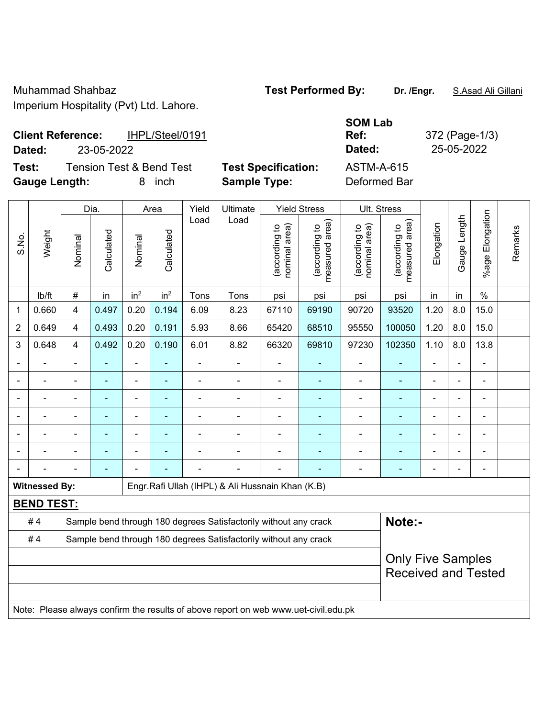## **Client Reference:** IHPL/Steel/0191 **Dated:** 23-05-2022 **Dated:** 25-05-2022

**Test:** Tension Test & Bend Test **Test Specification:** 

**Gauge Length:** 8 inch **Sample Type:** Deformed Bar

| SOM Lab       |     |
|---------------|-----|
| Ref:          | 372 |
| <b>Dated:</b> | 25  |
| ASTM-A-615    |     |

**Ref:** 372 (Page-1/3)

|                |                      |                | Dia.                                                             |                          | Area                     | Yield                    | Ultimate                                                         |                                | <b>Yield Stress</b>             |                                | Ult. Stress                                |                              |                |                       |         |
|----------------|----------------------|----------------|------------------------------------------------------------------|--------------------------|--------------------------|--------------------------|------------------------------------------------------------------|--------------------------------|---------------------------------|--------------------------------|--------------------------------------------|------------------------------|----------------|-----------------------|---------|
| S.No.          | Weight               | Nominal        | Calculated                                                       | Nominal                  | Calculated               | Load                     | Load                                                             | nominal area)<br>(according to | measured area)<br>(according to | nominal area)<br>(according to | (acording to<br>neasured area)<br>measured | Elongation                   | Gauge Length   | Elongation<br>$%$ age | Remarks |
|                | lb/ft                | #              | in                                                               | in <sup>2</sup>          | in <sup>2</sup>          | Tons                     | Tons                                                             | psi                            | psi                             | psi                            | psi                                        | in                           | in             | $\%$                  |         |
| 1              | 0.660                | 4              | 0.497                                                            | 0.20                     | 0.194                    | 6.09                     | 8.23                                                             | 67110                          | 69190                           | 90720                          | 93520                                      | 1.20                         | 8.0            | 15.0                  |         |
| $\overline{2}$ | 0.649                | 4              | 0.493                                                            | 0.20                     | 0.191                    | 5.93                     | 8.66                                                             | 65420                          | 68510                           | 95550                          | 100050                                     | 1.20                         | 8.0            | 15.0                  |         |
| 3              | 0.648                | 4              | 0.492                                                            | 0.20                     | 0.190                    | 6.01                     | 8.82                                                             | 66320                          | 69810                           | 97230                          | 102350                                     | 1.10                         | 8.0            | 13.8                  |         |
|                |                      | $\blacksquare$ | $\blacksquare$                                                   | $\blacksquare$           | $\blacksquare$           | $\blacksquare$           | ä,                                                               | $\blacksquare$                 | ٠                               | $\overline{a}$                 | $\blacksquare$                             | $\blacksquare$               |                | ÷                     |         |
|                |                      |                |                                                                  | L.                       |                          |                          |                                                                  |                                |                                 |                                |                                            |                              |                |                       |         |
|                |                      | $\blacksquare$ |                                                                  | ÷                        |                          |                          | $\blacksquare$                                                   | $\blacksquare$                 |                                 | $\blacksquare$                 |                                            | ۰                            |                | $\blacksquare$        |         |
|                |                      | $\blacksquare$ | $\blacksquare$                                                   | $\overline{\phantom{a}}$ | $\overline{\phantom{0}}$ |                          | $\blacksquare$                                                   | $\blacksquare$                 | $\blacksquare$                  | $\blacksquare$                 | $\blacksquare$                             | $\qquad \qquad \blacksquare$ | $\blacksquare$ | ÷                     |         |
|                |                      | $\blacksquare$ | $\blacksquare$                                                   | $\blacksquare$           | ۰                        | $\overline{\phantom{0}}$ | ÷                                                                | $\blacksquare$                 | ٠                               | $\overline{\phantom{0}}$       | $\blacksquare$                             | $\blacksquare$               |                | ÷                     |         |
|                |                      |                |                                                                  |                          |                          |                          |                                                                  |                                |                                 |                                |                                            |                              |                | $\blacksquare$        |         |
|                |                      | L,             | $\blacksquare$                                                   | ÷                        | ۰                        |                          | $\blacksquare$                                                   |                                |                                 | $\overline{\phantom{0}}$       | $\blacksquare$                             | ۰                            | $\blacksquare$ | ÷                     |         |
|                | <b>Witnessed By:</b> |                |                                                                  |                          |                          |                          | Engr. Rafi Ullah (IHPL) & Ali Hussnain Khan (K.B)                |                                |                                 |                                |                                            |                              |                |                       |         |
|                | <b>BEND TEST:</b>    |                |                                                                  |                          |                          |                          |                                                                  |                                |                                 |                                |                                            |                              |                |                       |         |
|                | #4                   |                |                                                                  |                          |                          |                          | Sample bend through 180 degrees Satisfactorily without any crack |                                |                                 |                                | Note:-                                     |                              |                |                       |         |
|                | #4                   |                | Sample bend through 180 degrees Satisfactorily without any crack |                          |                          |                          |                                                                  |                                |                                 |                                |                                            |                              |                |                       |         |
|                |                      |                |                                                                  |                          |                          |                          |                                                                  |                                |                                 |                                | <b>Only Five Samples</b>                   |                              |                |                       |         |
|                |                      |                |                                                                  |                          |                          |                          |                                                                  |                                |                                 |                                | <b>Received and Tested</b>                 |                              |                |                       |         |
|                |                      |                |                                                                  |                          |                          |                          |                                                                  |                                |                                 |                                |                                            |                              |                |                       |         |

Note: Please always confirm the results of above report on web www.uet-civil.edu.pk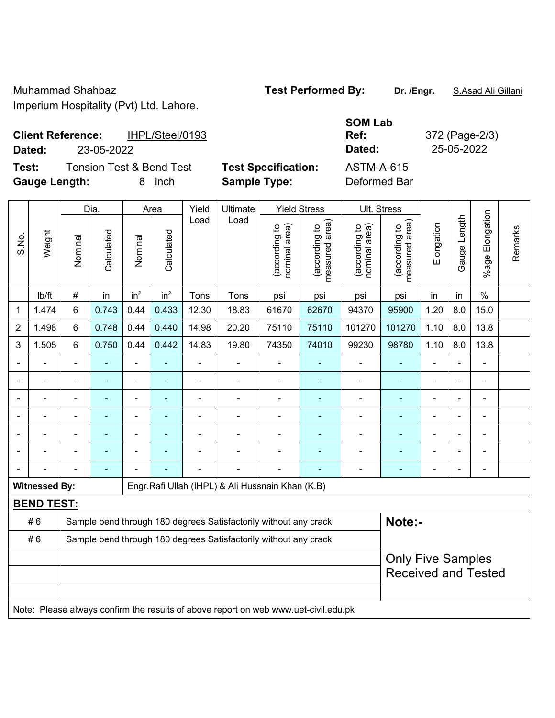## **Client Reference:** IHPL/Steel/0193 **Dated:** 23-05-2022 **Dated:** 25-05-2022

**Test:** Tension Test & Bend Test **Test Specification:** ASTM-A-615

**Gauge Length:** 8 inch **Sample Type:** Deformed Bar

**SOM Lab Ref:** 372 (Page-2/3)

|                |                      |                 | Dia.       |                 | Area            | Yield          | Ultimate                                                                            |                                | <b>Yield Stress</b>             |                                | Ult. Stress                     |                |              |                            |         |
|----------------|----------------------|-----------------|------------|-----------------|-----------------|----------------|-------------------------------------------------------------------------------------|--------------------------------|---------------------------------|--------------------------------|---------------------------------|----------------|--------------|----------------------------|---------|
| S.No.          | Weight               | Nominal         | Calculated | Nominal         | Calculated      | Load           | Load                                                                                | nominal area)<br>(according to | (according to<br>measured area) | nominal area)<br>(according to | (according to<br>measured area) | Elongation     | Gauge Length | Elongation<br>$%$ age      | Remarks |
|                | lb/ft                | $\#$            | in         | in <sup>2</sup> | in <sup>2</sup> | Tons           | Tons                                                                                | psi                            | psi                             | psi                            | psi                             | in             | in           | $\%$                       |         |
| $\mathbf 1$    | 1.474                | $6\phantom{1}$  | 0.743      | 0.44            | 0.433           | 12.30          | 18.83                                                                               | 61670                          | 62670                           | 94370                          | 95900                           | 1.20           | 8.0          | 15.0                       |         |
| $\overline{2}$ | 1.498                | $6\phantom{1}6$ | 0.748      | 0.44            | 0.440           | 14.98          | 20.20                                                                               | 75110                          | 75110                           | 101270                         | 101270                          | 1.10           | 8.0          | 13.8                       |         |
| $\mathsf 3$    | 1.505                | $6\phantom{1}$  | 0.750      | 0.44            | 0.442           | 14.83          | 19.80                                                                               | 74350                          | 74010                           | 99230                          | 98780                           | 1.10           | 8.0          | 13.8                       |         |
| $\blacksquare$ |                      |                 |            |                 | ۰               |                | $\blacksquare$                                                                      | $\blacksquare$                 |                                 | $\blacksquare$                 | ٠                               |                |              | $\blacksquare$             |         |
|                |                      |                 |            |                 | $\blacksquare$  |                |                                                                                     | $\blacksquare$                 | ٠                               | ä,                             | ٠                               |                |              |                            |         |
|                |                      |                 |            |                 |                 |                |                                                                                     |                                |                                 |                                |                                 |                |              |                            |         |
|                |                      |                 |            |                 |                 |                |                                                                                     |                                |                                 | ٠                              | ۳                               | $\blacksquare$ |              |                            |         |
|                |                      |                 | ÷,         | $\blacksquare$  | ä,              | $\blacksquare$ | Ē,                                                                                  | $\blacksquare$                 | ٠                               | $\blacksquare$                 | ٠                               | $\blacksquare$ |              | $\blacksquare$             |         |
|                |                      |                 | ä,         | $\blacksquare$  |                 |                |                                                                                     |                                | ٠                               | $\blacksquare$                 | ۰                               | Ē,             |              | $\blacksquare$             |         |
|                |                      |                 | ۰          |                 | ÷               | $\blacksquare$ | $\blacksquare$                                                                      | $\blacksquare$                 | $\overline{\phantom{0}}$        | $\blacksquare$                 | ۰                               | $\blacksquare$ |              | $\blacksquare$             |         |
|                | <b>Witnessed By:</b> |                 |            |                 |                 |                | Engr.Rafi Ullah (IHPL) & Ali Hussnain Khan (K.B)                                    |                                |                                 |                                |                                 |                |              |                            |         |
|                | <b>BEND TEST:</b>    |                 |            |                 |                 |                |                                                                                     |                                |                                 |                                |                                 |                |              |                            |         |
|                | #6                   |                 |            |                 |                 |                | Sample bend through 180 degrees Satisfactorily without any crack                    |                                |                                 |                                | Note:-                          |                |              |                            |         |
|                | #6                   |                 |            |                 |                 |                | Sample bend through 180 degrees Satisfactorily without any crack                    |                                |                                 |                                |                                 |                |              |                            |         |
|                |                      |                 |            |                 |                 |                | <b>Only Five Samples</b>                                                            |                                |                                 |                                |                                 |                |              |                            |         |
|                |                      |                 |            |                 |                 |                |                                                                                     |                                |                                 |                                |                                 |                |              | <b>Received and Tested</b> |         |
|                |                      |                 |            |                 |                 |                |                                                                                     |                                |                                 |                                |                                 |                |              |                            |         |
|                |                      |                 |            |                 |                 |                | Note: Please always confirm the results of above report on web www.uet-civil.edu.pk |                                |                                 |                                |                                 |                |              |                            |         |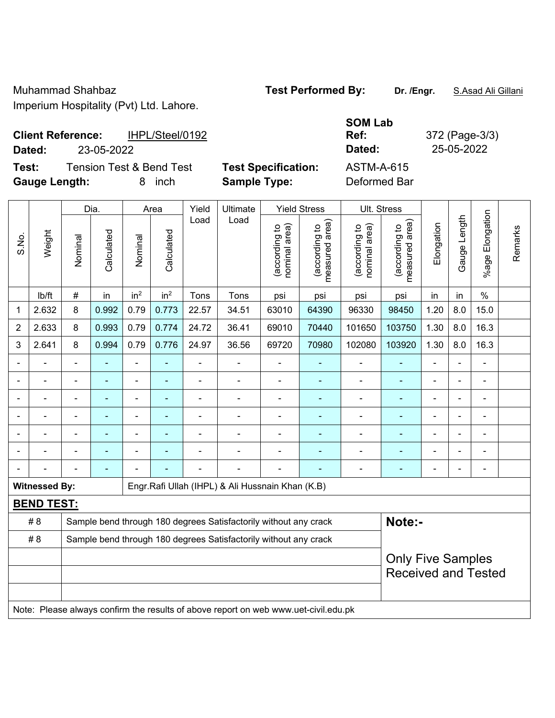| <b>Client Reference:</b> | IHPL/Steel/0192 | Ref:   | 372 (Page-3/ |
|--------------------------|-----------------|--------|--------------|
| Dated:                   | 23-05-2022      | Dated: | 25-05-2022   |

**Test:** Tension Test & Bend Test **Test Specification:** ASTM-A-615 **Gauge Length:** 8 inch **Sample Type:** Deformed Bar

 $\overline{\phantom{a}}$ 

 $\overline{\phantom{a}}$ 

 $\blacksquare$ 

 $\top$ 

 $\overline{\phantom{a}}$ 

**SOM Lab Ref:** 372 (Page-3/3)

 $\mathbf{\tau}$ 

|       |                      |                | Dia.           |                          | Area            | Yield          | Ultimate                                                                            |                                | <b>Yield Stress</b>                         | Ult. Stress                    |                                                        |                |              |                              |         |
|-------|----------------------|----------------|----------------|--------------------------|-----------------|----------------|-------------------------------------------------------------------------------------|--------------------------------|---------------------------------------------|--------------------------------|--------------------------------------------------------|----------------|--------------|------------------------------|---------|
| S.No. | Weight               | Nominal        | Calculated     | Nominal                  | Calculated      | Load           | Load                                                                                | (according to<br>nominal area) | (according to<br>measured area)<br>measured | nominal area)<br>(according to | (according to<br>measured area)                        | Elongation     | Gauge Length | Elongation<br>$%$ age        | Remarks |
|       | lb/ft                | $\#$           | in             | in <sup>2</sup>          | in <sup>2</sup> | Tons           | Tons                                                                                | psi                            | psi                                         | psi                            | psi                                                    | in             | in           | $\%$                         |         |
| 1     | 2.632                | 8              | 0.992          | 0.79                     | 0.773           | 22.57          | 34.51                                                                               | 63010                          | 64390                                       | 96330                          | 98450                                                  | 1.20           | 8.0          | 15.0                         |         |
| 2     | 2.633                | 8              | 0.993          | 0.79                     | 0.774           | 24.72          | 36.41                                                                               | 69010                          | 70440                                       | 101650                         | 103750                                                 | 1.30           | 8.0          | 16.3                         |         |
| 3     | 2.641                | 8              | 0.994          | 0.79                     | 0.776           | 24.97          | 36.56                                                                               | 69720                          | 70980                                       | 102080                         | 103920                                                 | 1.30           | 8.0          | 16.3                         |         |
|       |                      |                |                | $\blacksquare$           | ä,              |                |                                                                                     |                                |                                             |                                |                                                        |                |              |                              |         |
|       |                      | $\blacksquare$ |                | ÷                        |                 |                | ÷.                                                                                  | $\blacksquare$                 |                                             | $\overline{\phantom{0}}$       |                                                        |                |              | $\blacksquare$               |         |
|       |                      | L,             | ٠              | ä,                       | ۰               | $\blacksquare$ | ÷                                                                                   | $\blacksquare$                 |                                             | $\blacksquare$                 | ٠                                                      | ä,             |              | $\blacksquare$               |         |
|       |                      | $\blacksquare$ | ٠              | $\overline{\phantom{a}}$ | $\blacksquare$  |                | ÷                                                                                   | $\blacksquare$                 | $\overline{\phantom{a}}$                    | $\blacksquare$                 | $\blacksquare$                                         | $\blacksquare$ |              | $\qquad \qquad \blacksquare$ |         |
|       |                      | ä,             |                | ä,                       |                 |                |                                                                                     |                                |                                             | $\blacksquare$                 |                                                        |                |              | ä,                           |         |
|       |                      |                |                |                          |                 |                |                                                                                     |                                |                                             |                                |                                                        |                |              |                              |         |
|       |                      | $\blacksquare$ | $\blacksquare$ |                          |                 |                | ۰                                                                                   | $\blacksquare$                 |                                             |                                | ۰                                                      | $\blacksquare$ |              | $\blacksquare$               |         |
|       | <b>Witnessed By:</b> |                |                |                          |                 |                | Engr.Rafi Ullah (IHPL) & Ali Hussnain Khan (K.B)                                    |                                |                                             |                                |                                                        |                |              |                              |         |
|       | <b>BEND TEST:</b>    |                |                |                          |                 |                |                                                                                     |                                |                                             |                                |                                                        |                |              |                              |         |
|       | #8                   |                |                |                          |                 |                | Sample bend through 180 degrees Satisfactorily without any crack                    |                                |                                             |                                | Note:-                                                 |                |              |                              |         |
|       | # 8                  |                |                |                          |                 |                | Sample bend through 180 degrees Satisfactorily without any crack                    |                                |                                             |                                |                                                        |                |              |                              |         |
|       |                      |                |                |                          |                 |                |                                                                                     |                                |                                             |                                | <b>Only Five Samples</b><br><b>Received and Tested</b> |                |              |                              |         |
|       |                      |                |                |                          |                 |                | Note: Please always confirm the results of above report on web www.uet-civil.edu.pk |                                |                                             |                                |                                                        |                |              |                              |         |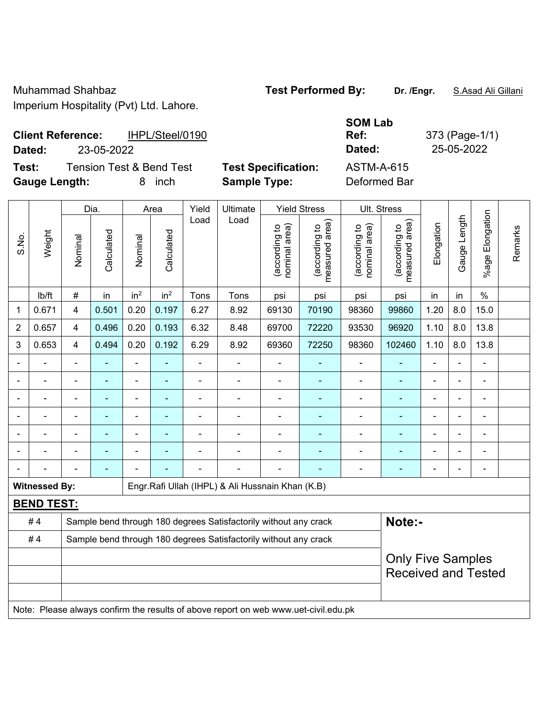| <b>Client Reference:</b> |            | IHPL/Steel/0190 | Ref:   | 373 (Page-1/ |
|--------------------------|------------|-----------------|--------|--------------|
| Dated:                   | 23-05-2022 |                 | Dated: | 25-05-2022   |

**Test:** Tension Test & Bend Test **Test Specification:** ASTM-A-615 **Gauge Length:** 8 inch **Sample Type:** Deformed Bar

**SOM Lab Ref:** 373 (Page-1/1)

|       |                      |                | Dia.       |                          | Area            | Yield | Ultimate                                                                            |                                | <b>Yield Stress</b>             |                                | Ult. Stress                        |                |                |                       |         |
|-------|----------------------|----------------|------------|--------------------------|-----------------|-------|-------------------------------------------------------------------------------------|--------------------------------|---------------------------------|--------------------------------|------------------------------------|----------------|----------------|-----------------------|---------|
| S.No. | Weight               | Nominal        | Calculated | Nominal                  | Calculated      | Load  | Load                                                                                | nominal area)<br>(according to | measured area)<br>(according to | nominal area)<br>(according to | area)<br>(according to<br>measured | Elongation     | Gauge Length   | Elongation<br>$%$ age | Remarks |
|       | lb/ft                | $\#$           | in         | in <sup>2</sup>          | in <sup>2</sup> | Tons  | Tons                                                                                | psi                            | psi                             | psi                            | psi                                | in             | in             | $\%$                  |         |
| 1     | 0.671                | 4              | 0.501      | 0.20                     | 0.197           | 6.27  | 8.92                                                                                | 69130                          | 70190                           | 98360                          | 99860                              | 1.20           | 8.0            | 15.0                  |         |
| 2     | 0.657                | $\overline{4}$ | 0.496      | 0.20                     | 0.193           | 6.32  | 8.48                                                                                | 69700                          | 72220                           | 93530                          | 96920                              | 1.10           | 8.0            | 13.8                  |         |
| 3     | 0.653                | $\overline{4}$ | 0.494      | 0.20                     | 0.192           | 6.29  | 8.92                                                                                | 69360                          | 72250                           | 98360                          | 102460                             | 1.10           | 8.0            | 13.8                  |         |
|       |                      |                |            |                          |                 |       |                                                                                     |                                |                                 |                                |                                    |                |                |                       |         |
|       |                      |                |            | ÷                        |                 |       |                                                                                     | $\blacksquare$                 |                                 |                                |                                    |                |                | $\blacksquare$        |         |
|       |                      |                | ۰          | ÷                        |                 |       | $\overline{\phantom{a}}$                                                            | $\overline{a}$                 |                                 | ٠                              | ۰                                  | ÷              | ä,             | ÷                     |         |
|       |                      | $\blacksquare$ | ÷,         | $\overline{\phantom{a}}$ |                 | ä,    | $\blacksquare$                                                                      | $\blacksquare$                 |                                 | $\blacksquare$                 | $\blacksquare$                     | ÷              | $\blacksquare$ | ÷                     |         |
|       |                      | $\blacksquare$ | ä,         | $\overline{\phantom{a}}$ |                 | ä,    | $\blacksquare$                                                                      |                                |                                 |                                | ä,                                 | $\blacksquare$ |                | ÷                     |         |
|       |                      |                |            |                          |                 |       |                                                                                     |                                |                                 |                                | $\overline{\phantom{0}}$           |                |                |                       |         |
|       |                      |                |            |                          |                 |       |                                                                                     |                                |                                 |                                | $\blacksquare$                     |                |                | $\blacksquare$        |         |
|       | <b>Witnessed By:</b> |                |            |                          |                 |       | Engr. Rafi Ullah (IHPL) & Ali Hussnain Khan (K.B)                                   |                                |                                 |                                |                                    |                |                |                       |         |
|       | <b>BEND TEST:</b>    |                |            |                          |                 |       |                                                                                     |                                |                                 |                                |                                    |                |                |                       |         |
|       | #4                   |                |            |                          |                 |       | Sample bend through 180 degrees Satisfactorily without any crack                    |                                |                                 |                                | Note:-                             |                |                |                       |         |
|       | #4                   |                |            |                          |                 |       | Sample bend through 180 degrees Satisfactorily without any crack                    |                                |                                 |                                |                                    |                |                |                       |         |
|       |                      |                |            |                          |                 |       |                                                                                     |                                |                                 |                                | <b>Only Five Samples</b>           |                |                |                       |         |
|       |                      |                |            |                          |                 |       |                                                                                     |                                |                                 |                                | <b>Received and Tested</b>         |                |                |                       |         |
|       |                      |                |            |                          |                 |       |                                                                                     |                                |                                 |                                |                                    |                |                |                       |         |
|       |                      |                |            |                          |                 |       | Note: Please always confirm the results of above report on web www.uet-civil.edu.pk |                                |                                 |                                |                                    |                |                |                       |         |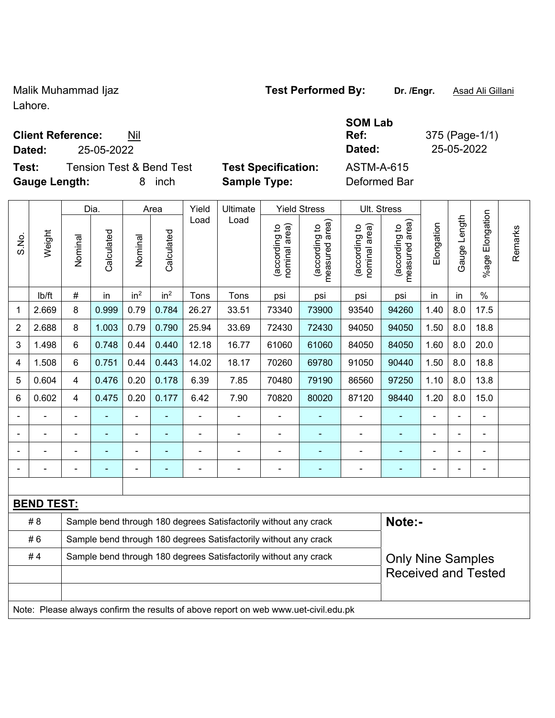Malik Muhammad Ijaz **Test Performed By: Dr. /Engr.** Asad Ali Gillani Lahore.

## **Client Reference:** Nil

**Dated:** 25-05-2022 **Dated:** 25-05-2022

**Test:** Tension Test & Bend Test **Test Specification:** ASTM-A-615 Gauge Length: **8** inch **Sample Type:** 

| ecification: | AS <sup>-</sup> |
|--------------|-----------------|
|              | n.,             |

| AS I M-A-015 |  |
|--------------|--|
| Deformed Bar |  |

|                |                   |                                                                                     | Dia.           |                          | Area                     | Yield                    | Ultimate                                                         |                                | <b>Yield Stress</b>             |                                | Ult. Stress                                            |                |                |                          |         |
|----------------|-------------------|-------------------------------------------------------------------------------------|----------------|--------------------------|--------------------------|--------------------------|------------------------------------------------------------------|--------------------------------|---------------------------------|--------------------------------|--------------------------------------------------------|----------------|----------------|--------------------------|---------|
| S.No.          | Weight            | Nominal                                                                             | Calculated     | Nominal                  | Calculated               | Load                     | Load                                                             | nominal area)<br>(according to | (according to<br>measured area) | nominal area)<br>(according to | area)<br>(according to<br>measured                     | Elongation     | Gauge Length   | Elongation<br>$%$ age    | Remarks |
|                | lb/ft             | $\#$                                                                                | in             | in <sup>2</sup>          | in <sup>2</sup>          | Tons                     | Tons                                                             | psi                            | psi                             | psi                            | psi                                                    | in             | in             | $\%$                     |         |
| 1              | 2.669             | 8                                                                                   | 0.999          | 0.79                     | 0.784                    | 26.27                    | 33.51                                                            | 73340                          | 73900                           | 93540                          | 94260                                                  | 1.40           | 8.0            | 17.5                     |         |
| $\overline{2}$ | 2.688             | 8                                                                                   | 1.003          | 0.79                     | 0.790                    | 25.94                    | 33.69                                                            | 72430                          | 72430                           | 94050                          | 94050                                                  | 1.50           | 8.0            | 18.8                     |         |
| 3              | 1.498             | 6                                                                                   | 0.748          | 0.44                     | 0.440                    | 12.18                    | 16.77                                                            | 61060                          | 61060                           | 84050                          | 84050                                                  | 1.60           | 8.0            | 20.0                     |         |
| 4              | 1.508             | 6                                                                                   | 0.751          | 0.44                     | 0.443                    | 14.02                    | 18.17                                                            | 70260                          | 69780                           | 91050                          | 90440                                                  | 1.50           | 8.0            | 18.8                     |         |
| 5              | 0.604             | 4                                                                                   | 0.476          | 0.20                     | 0.178                    | 6.39                     | 7.85                                                             | 70480                          | 79190                           | 86560                          | 97250                                                  | 1.10           | 8.0            | 13.8                     |         |
| 6              | 0.602             | 4                                                                                   | 0.475          | 0.20                     | 0.177                    | 6.42                     | 7.90                                                             | 70820                          | 80020                           | 87120                          | 98440                                                  | 1.20           | 8.0            | 15.0                     |         |
|                |                   | ä,                                                                                  |                |                          | Ξ                        |                          | $\blacksquare$                                                   | $\blacksquare$                 | ÷                               | $\qquad \qquad \blacksquare$   |                                                        | $\blacksquare$ | $\blacksquare$ |                          |         |
| $\blacksquare$ | ä,                | $\blacksquare$                                                                      | $\blacksquare$ | $\blacksquare$           | $\blacksquare$           | ä,                       | $\blacksquare$                                                   | $\blacksquare$                 | ÷                               | $\blacksquare$                 | $\blacksquare$                                         | $\blacksquare$ | ÷.             | $\blacksquare$           |         |
|                | ÷,                | ä,                                                                                  | ä,             | ÷,                       | ÷,                       |                          | ÷                                                                | $\blacksquare$                 |                                 | ÷,                             |                                                        | ÷,             |                | $\blacksquare$           |         |
|                | $\blacksquare$    | $\blacksquare$                                                                      | $\blacksquare$ | $\overline{\phantom{0}}$ | $\overline{\phantom{0}}$ | $\overline{\phantom{0}}$ | $\blacksquare$                                                   | $\blacksquare$                 | ۰                               | $\blacksquare$                 | $\blacksquare$                                         | $\blacksquare$ |                | $\overline{\phantom{0}}$ |         |
|                |                   |                                                                                     |                |                          |                          |                          |                                                                  |                                |                                 |                                |                                                        |                |                |                          |         |
|                | <b>BEND TEST:</b> |                                                                                     |                |                          |                          |                          |                                                                  |                                |                                 |                                |                                                        |                |                |                          |         |
|                | # 8               |                                                                                     |                |                          |                          |                          | Sample bend through 180 degrees Satisfactorily without any crack |                                |                                 |                                | Note:-                                                 |                |                |                          |         |
|                | #6                |                                                                                     |                |                          |                          |                          | Sample bend through 180 degrees Satisfactorily without any crack |                                |                                 |                                |                                                        |                |                |                          |         |
|                | #4                |                                                                                     |                |                          |                          |                          | Sample bend through 180 degrees Satisfactorily without any crack |                                |                                 |                                | <b>Only Nine Samples</b><br><b>Received and Tested</b> |                |                |                          |         |
|                |                   | Note: Please always confirm the results of above report on web www.uet-civil.edu.pk |                |                          |                          |                          |                                                                  |                                |                                 |                                |                                                        |                |                |                          |         |

# **SOM Lab Ref:** 375 (Page-1/1)